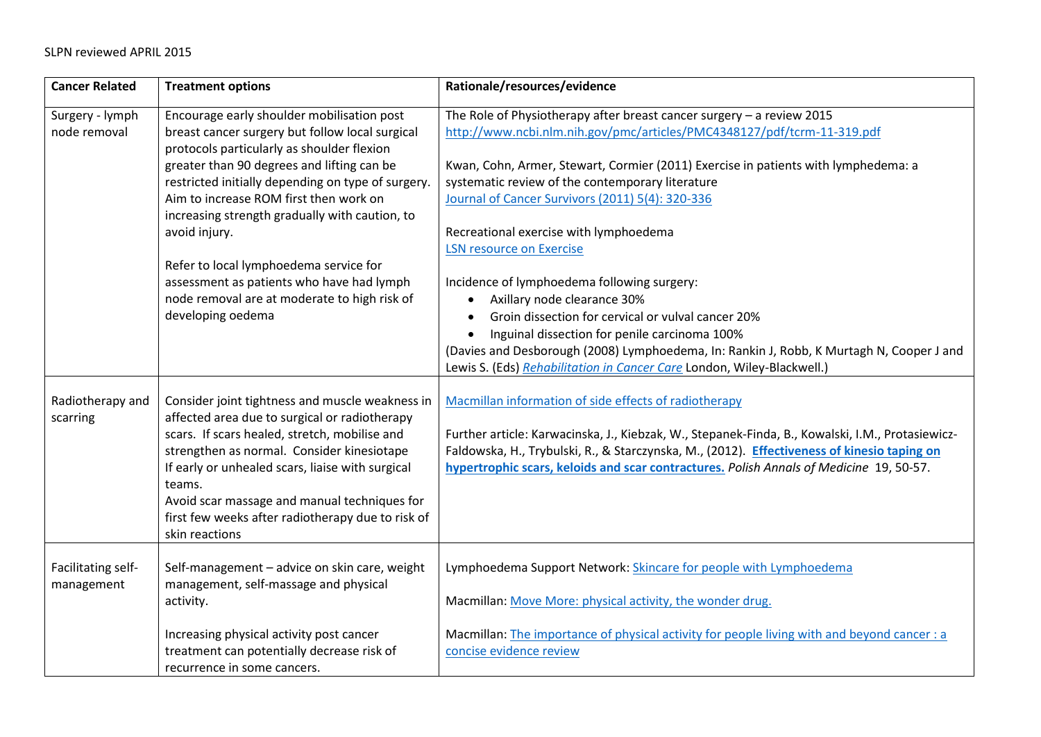| <b>Cancer Related</b>            | <b>Treatment options</b>                                                                                                                                                                                                                                                                                                                                                                                                                                                                                                 | Rationale/resources/evidence                                                                                                                                                                                                                                                                                                                                                                                                                                                                                                                                                                                                                                                                                                                                                                        |
|----------------------------------|--------------------------------------------------------------------------------------------------------------------------------------------------------------------------------------------------------------------------------------------------------------------------------------------------------------------------------------------------------------------------------------------------------------------------------------------------------------------------------------------------------------------------|-----------------------------------------------------------------------------------------------------------------------------------------------------------------------------------------------------------------------------------------------------------------------------------------------------------------------------------------------------------------------------------------------------------------------------------------------------------------------------------------------------------------------------------------------------------------------------------------------------------------------------------------------------------------------------------------------------------------------------------------------------------------------------------------------------|
| Surgery - lymph<br>node removal  | Encourage early shoulder mobilisation post<br>breast cancer surgery but follow local surgical<br>protocols particularly as shoulder flexion<br>greater than 90 degrees and lifting can be<br>restricted initially depending on type of surgery.<br>Aim to increase ROM first then work on<br>increasing strength gradually with caution, to<br>avoid injury.<br>Refer to local lymphoedema service for<br>assessment as patients who have had lymph<br>node removal are at moderate to high risk of<br>developing oedema | The Role of Physiotherapy after breast cancer surgery - a review 2015<br>http://www.ncbi.nlm.nih.gov/pmc/articles/PMC4348127/pdf/tcrm-11-319.pdf<br>Kwan, Cohn, Armer, Stewart, Cormier (2011) Exercise in patients with lymphedema: a<br>systematic review of the contemporary literature<br>Journal of Cancer Survivors (2011) 5(4): 320-336<br>Recreational exercise with lymphoedema<br><b>LSN resource on Exercise</b><br>Incidence of lymphoedema following surgery:<br>Axillary node clearance 30%<br>Groin dissection for cervical or vulval cancer 20%<br>Inguinal dissection for penile carcinoma 100%<br>$\bullet$<br>(Davies and Desborough (2008) Lymphoedema, In: Rankin J, Robb, K Murtagh N, Cooper J and<br>Lewis S. (Eds) Rehabilitation in Cancer Care London, Wiley-Blackwell.) |
| Radiotherapy and<br>scarring     | Consider joint tightness and muscle weakness in<br>affected area due to surgical or radiotherapy<br>scars. If scars healed, stretch, mobilise and<br>strengthen as normal. Consider kinesiotape<br>If early or unhealed scars, liaise with surgical<br>teams.<br>Avoid scar massage and manual techniques for<br>first few weeks after radiotherapy due to risk of<br>skin reactions                                                                                                                                     | Macmillan information of side effects of radiotherapy<br>Further article: Karwacinska, J., Kiebzak, W., Stepanek-Finda, B., Kowalski, I.M., Protasiewicz-<br>Faldowska, H., Trybulski, R., & Starczynska, M., (2012). Effectiveness of kinesio taping on<br>hypertrophic scars, keloids and scar contractures. Polish Annals of Medicine 19, 50-57.                                                                                                                                                                                                                                                                                                                                                                                                                                                 |
| Facilitating self-<br>management | Self-management - advice on skin care, weight<br>management, self-massage and physical<br>activity.<br>Increasing physical activity post cancer<br>treatment can potentially decrease risk of<br>recurrence in some cancers.                                                                                                                                                                                                                                                                                             | Lymphoedema Support Network: Skincare for people with Lymphoedema<br>Macmillan: Move More: physical activity, the wonder drug.<br>Macmillan: The importance of physical activity for people living with and beyond cancer : a<br>concise evidence review                                                                                                                                                                                                                                                                                                                                                                                                                                                                                                                                            |